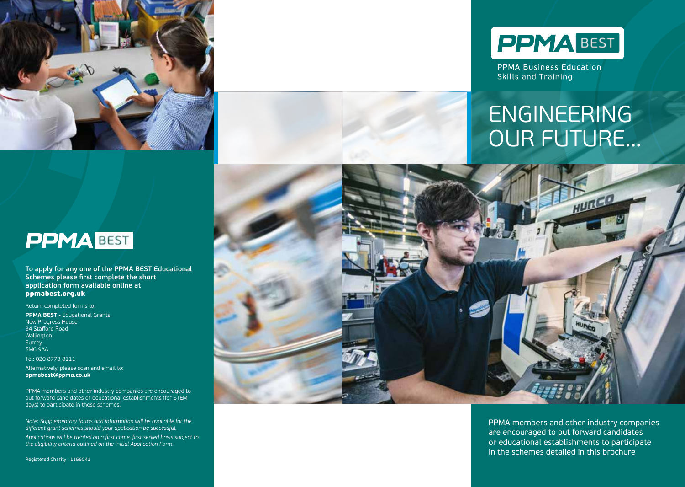



**PPMA Business Education** Skills and Training

# ENGINEERING OUR FUTURE…



**To apply for any one of the PPMA BEST Educational Schemes please first complete the short application form available online at**  ppmabest.org.uk

Return completed forms to:

**PPMA BEST** - Educational Grants New Progress House 34 Stafford Road Wallington Surrey SM6 9AA Tel: 020 8773 8111

Alternatively, please scan and email to: **ppmabest@ppma.co.uk**

PPMA members and other industry companies are encouraged to put forward candidates or educational establishments (for STEM days) to participate in these schemes.

*Note: Supplementary forms and information will be available for the different grant schemes should your application be successful. Applications will be treated on a first come, first served basis subject to* 

*the eligibility criteria outlined on the Initial Application Form.*

Registered Charity : 1156041



PPMA members and other industry companies are encouraged to put forward candidates or educational establishments to participate in the schemes detailed in this brochure